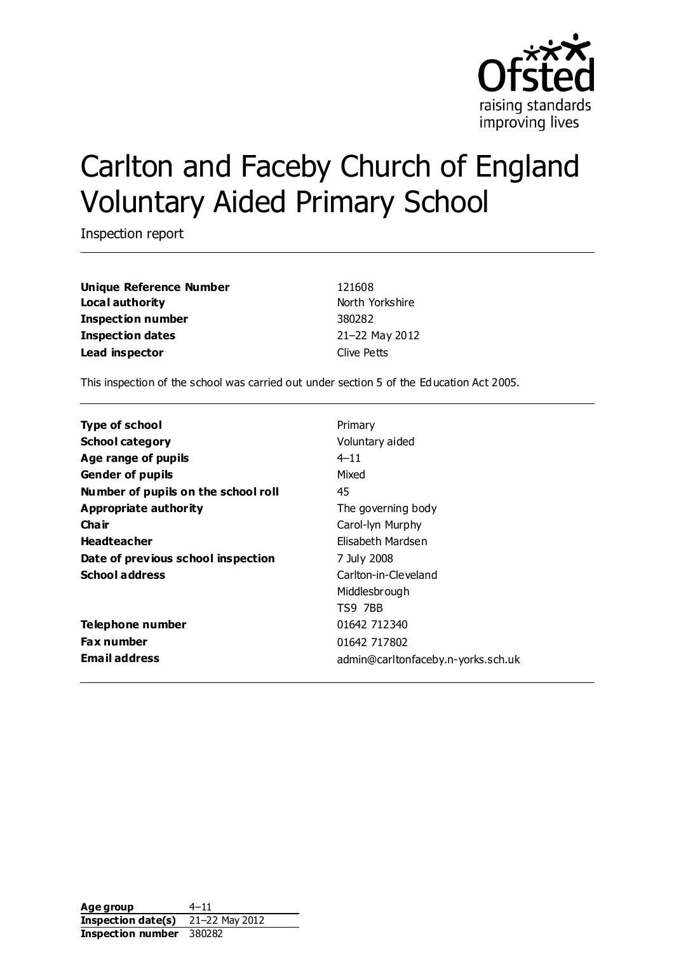

# Carlton and Faceby Church of England Voluntary Aided Primary School

Inspection report

**Unique Reference Number** 121608 **Local authority North Yorkshire** North Yorkshire **Inspection number** 380282 **Inspection dates** 21–22 May 2012 **Lead inspector** Clive Petts

This inspection of the school was carried out under section 5 of the Education Act 2005.

| <b>Type of school</b>               | Primary                            |
|-------------------------------------|------------------------------------|
| <b>School category</b>              | Voluntary aided                    |
| Age range of pupils                 | $4 - 11$                           |
| <b>Gender of pupils</b>             | Mixed                              |
| Number of pupils on the school roll | 45                                 |
| Appropriate authority               | The governing body                 |
| Cha ir                              | Carol-Iyn Murphy                   |
| <b>Headteacher</b>                  | Elisabeth Mardsen                  |
| Date of previous school inspection  | 7 July 2008                        |
| <b>School address</b>               | Carlton-in-Cleveland               |
|                                     | Middlesbrough                      |
|                                     | TS9 7BB                            |
| Telephone number                    | 01642 712340                       |
| <b>Fax number</b>                   | 01642 717802                       |
| <b>Email address</b>                | admin@carltonfaceby.n-yorks.sch.uk |

**Age group** 4-11 **Inspection date(s)** 21–22 May 2012 **Inspection number** 380282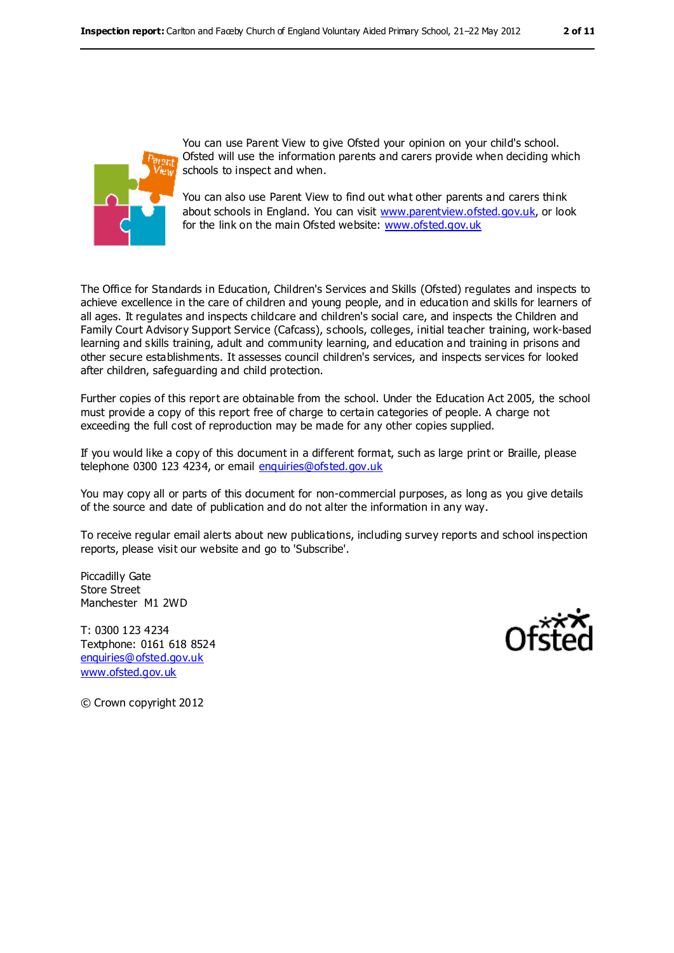

You can use Parent View to give Ofsted your opinion on your child's school. Ofsted will use the information parents and carers provide when deciding which schools to inspect and when.

You can also use Parent View to find out what other parents and carers think about schools in England. You can visit [www.parentview.ofsted.gov.uk,](../../../../AppData/Local/Microsoft/Windows/Temporary%20Internet%20Files/Content.IE5/KGBL96WJ/www.parentview.ofsted.gov.uk) or look for the link on the main Ofsted website: [www.ofsted.gov.uk](../../../../AppData/Local/Microsoft/Windows/Temporary%20Internet%20Files/Content.IE5/KGBL96WJ/www.ofsted.gov.uk)

The Office for Standards in Education, Children's Services and Skills (Ofsted) regulates and inspects to achieve excellence in the care of children and young people, and in education and skills for learners of all ages. It regulates and inspects childcare and children's social care, and inspects the Children and Family Court Advisory Support Service (Cafcass), schools, colleges, initial teacher training, work-based learning and skills training, adult and community learning, and education and training in prisons and other secure establishments. It assesses council children's services, and inspects services for looked after children, safeguarding and child protection.

Further copies of this report are obtainable from the school. Under the Education Act 2005, the school must provide a copy of this report free of charge to certain categories of people. A charge not exceeding the full cost of reproduction may be made for any other copies supplied.

If you would like a copy of this document in a different format, such as large print or Braille, please telephone 0300 123 4234, or email [enquiries@ofsted.gov.uk](mailto:enquiries@ofsted.gov.uk)

You may copy all or parts of this document for non-commercial purposes, as long as you give details of the source and date of publication and do not alter the information in any way.

To receive regular email alerts about new publications, including survey reports and school inspection reports, please visit our website and go to 'Subscribe'.

Piccadilly Gate Store Street Manchester M1 2WD

T: 0300 123 4234 Textphone: 0161 618 8524 [enquiries@ofsted.gov.uk](mailto:enquiries@ofsted.gov.uk) [www.ofsted.gov.uk](http://www.ofsted.gov.uk/)



© Crown copyright 2012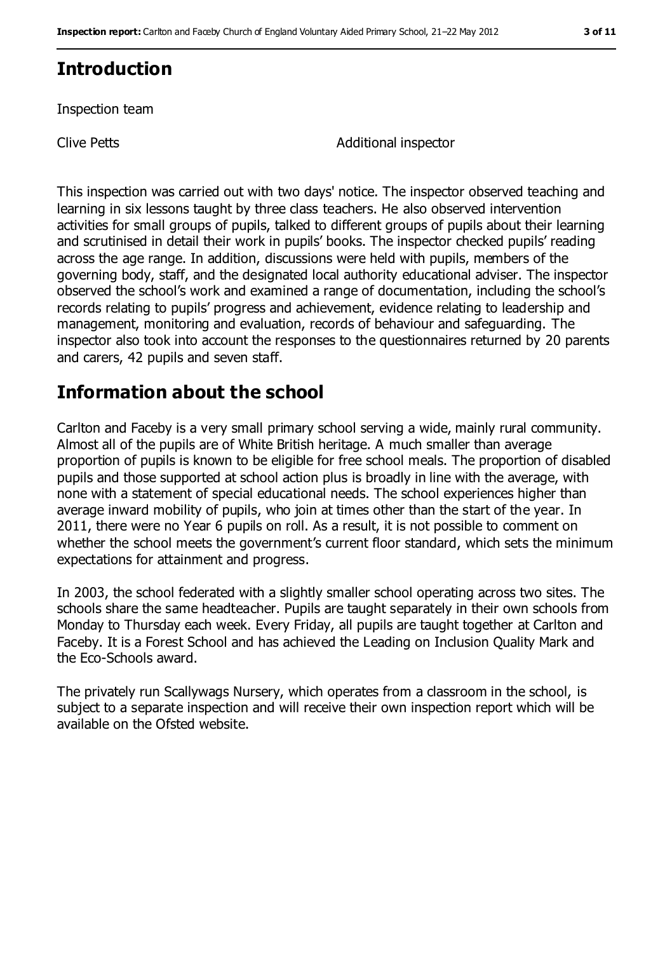## **Introduction**

Inspection team

Clive Petts **Additional** inspector

This inspection was carried out with two days' notice. The inspector observed teaching and learning in six lessons taught by three class teachers. He also observed intervention activities for small groups of pupils, talked to different groups of pupils about their learning and scrutinised in detail their work in pupils' books. The inspector checked pupils' reading across the age range. In addition, discussions were held with pupils, members of the governing body, staff, and the designated local authority educational adviser. The inspector observed the school's work and examined a range of documentation, including the school's records relating to pupils' progress and achievement, evidence relating to leadership and management, monitoring and evaluation, records of behaviour and safeguarding. The inspector also took into account the responses to the questionnaires returned by 20 parents and carers, 42 pupils and seven staff.

## **Information about the school**

Carlton and Faceby is a very small primary school serving a wide, mainly rural community. Almost all of the pupils are of White British heritage. A much smaller than average proportion of pupils is known to be eligible for free school meals. The proportion of disabled pupils and those supported at school action plus is broadly in line with the average, with none with a statement of special educational needs. The school experiences higher than average inward mobility of pupils, who join at times other than the start of the year. In 2011, there were no Year 6 pupils on roll. As a result, it is not possible to comment on whether the school meets the government's current floor standard, which sets the minimum expectations for attainment and progress.

In 2003, the school federated with a slightly smaller school operating across two sites. The schools share the same headteacher. Pupils are taught separately in their own schools from Monday to Thursday each week. Every Friday, all pupils are taught together at Carlton and Faceby. It is a Forest School and has achieved the Leading on Inclusion Quality Mark and the Eco-Schools award.

The privately run Scallywags Nursery, which operates from a classroom in the school, is subject to a separate inspection and will receive their own inspection report which will be available on the Ofsted website.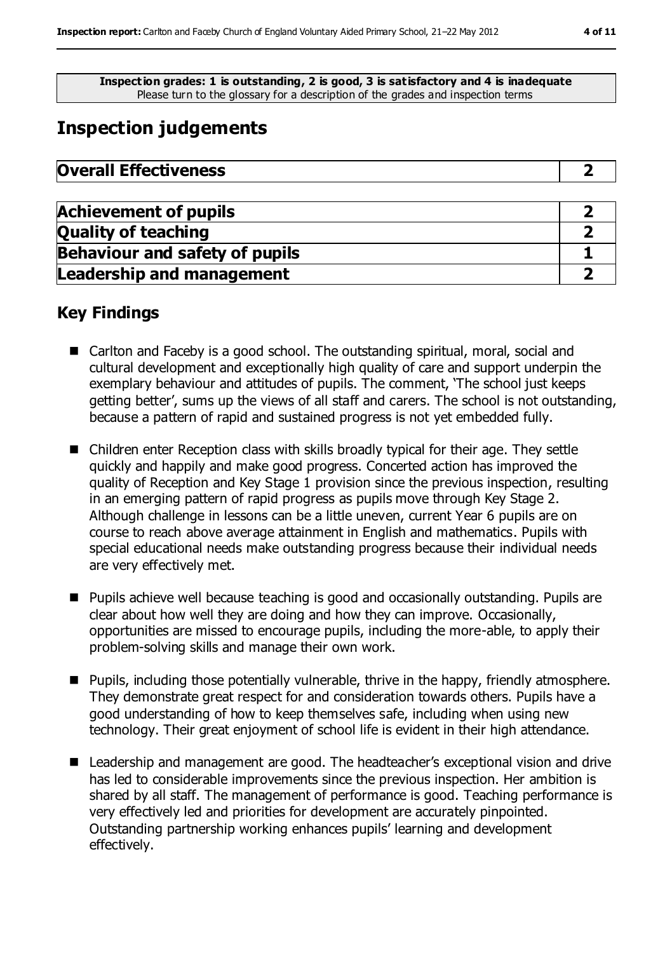**Inspection grades: 1 is outstanding, 2 is good, 3 is satisfactory and 4 is inadequate** Please turn to the glossary for a description of the grades and inspection terms

# **Inspection judgements**

| <b>Overall Effectiveness</b> |  |
|------------------------------|--|
|------------------------------|--|

| <b>Achievement of pupils</b>          |  |
|---------------------------------------|--|
| <b>Quality of teaching</b>            |  |
| <b>Behaviour and safety of pupils</b> |  |
| <b>Leadership and management</b>      |  |

## **Key Findings**

- Carlton and Faceby is a good school. The outstanding spiritual, moral, social and cultural development and exceptionally high quality of care and support underpin the exemplary behaviour and attitudes of pupils. The comment, 'The school just keeps getting better', sums up the views of all staff and carers. The school is not outstanding, because a pattern of rapid and sustained progress is not yet embedded fully.
- Children enter Reception class with skills broadly typical for their age. They settle quickly and happily and make good progress. Concerted action has improved the quality of Reception and Key Stage 1 provision since the previous inspection, resulting in an emerging pattern of rapid progress as pupils move through Key Stage 2. Although challenge in lessons can be a little uneven, current Year 6 pupils are on course to reach above average attainment in English and mathematics. Pupils with special educational needs make outstanding progress because their individual needs are very effectively met.
- Pupils achieve well because teaching is good and occasionally outstanding. Pupils are clear about how well they are doing and how they can improve. Occasionally, opportunities are missed to encourage pupils, including the more-able, to apply their problem-solving skills and manage their own work.
- **Pupils, including those potentially vulnerable, thrive in the happy, friendly atmosphere.** They demonstrate great respect for and consideration towards others. Pupils have a good understanding of how to keep themselves safe, including when using new technology. Their great enjoyment of school life is evident in their high attendance.
- Leadership and management are good. The headteacher's exceptional vision and drive has led to considerable improvements since the previous inspection. Her ambition is shared by all staff. The management of performance is good. Teaching performance is very effectively led and priorities for development are accurately pinpointed. Outstanding partnership working enhances pupils' learning and development effectively.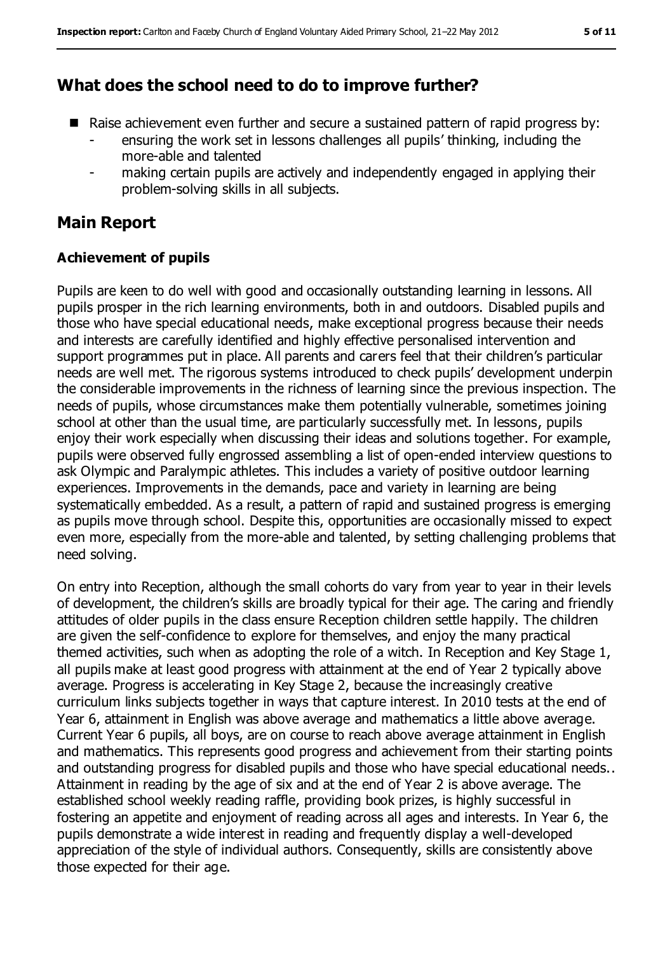## **What does the school need to do to improve further?**

- Raise achievement even further and secure a sustained pattern of rapid progress by:
	- ensuring the work set in lessons challenges all pupils' thinking, including the more-able and talented
	- making certain pupils are actively and independently engaged in applying their problem-solving skills in all subjects.

## **Main Report**

#### **Achievement of pupils**

Pupils are keen to do well with good and occasionally outstanding learning in lessons. All pupils prosper in the rich learning environments, both in and outdoors. Disabled pupils and those who have special educational needs, make exceptional progress because their needs and interests are carefully identified and highly effective personalised intervention and support programmes put in place. All parents and carers feel that their children's particular needs are well met. The rigorous systems introduced to check pupils' development underpin the considerable improvements in the richness of learning since the previous inspection. The needs of pupils, whose circumstances make them potentially vulnerable, sometimes joining school at other than the usual time, are particularly successfully met. In lessons, pupils enjoy their work especially when discussing their ideas and solutions together. For example, pupils were observed fully engrossed assembling a list of open-ended interview questions to ask Olympic and Paralympic athletes. This includes a variety of positive outdoor learning experiences. Improvements in the demands, pace and variety in learning are being systematically embedded. As a result, a pattern of rapid and sustained progress is emerging as pupils move through school. Despite this, opportunities are occasionally missed to expect even more, especially from the more-able and talented, by setting challenging problems that need solving.

On entry into Reception, although the small cohorts do vary from year to year in their levels of development, the children's skills are broadly typical for their age. The caring and friendly attitudes of older pupils in the class ensure Reception children settle happily. The children are given the self-confidence to explore for themselves, and enjoy the many practical themed activities, such when as adopting the role of a witch. In Reception and Key Stage 1, all pupils make at least good progress with attainment at the end of Year 2 typically above average. Progress is accelerating in Key Stage 2, because the increasingly creative curriculum links subjects together in ways that capture interest. In 2010 tests at the end of Year 6, attainment in English was above average and mathematics a little above average. Current Year 6 pupils, all boys, are on course to reach above average attainment in English and mathematics. This represents good progress and achievement from their starting points and outstanding progress for disabled pupils and those who have special educational needs.. Attainment in reading by the age of six and at the end of Year 2 is above average. The established school weekly reading raffle, providing book prizes, is highly successful in fostering an appetite and enjoyment of reading across all ages and interests. In Year 6, the pupils demonstrate a wide interest in reading and frequently display a well-developed appreciation of the style of individual authors. Consequently, skills are consistently above those expected for their age.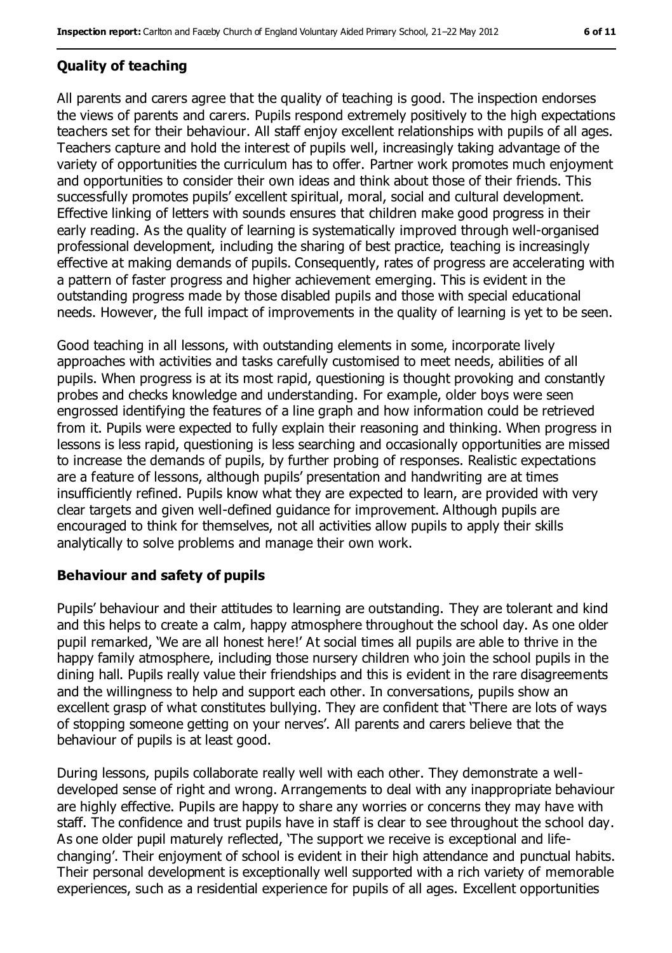#### **Quality of teaching**

All parents and carers agree that the quality of teaching is good. The inspection endorses the views of parents and carers. Pupils respond extremely positively to the high expectations teachers set for their behaviour. All staff enjoy excellent relationships with pupils of all ages. Teachers capture and hold the interest of pupils well, increasingly taking advantage of the variety of opportunities the curriculum has to offer. Partner work promotes much enjoyment and opportunities to consider their own ideas and think about those of their friends. This successfully promotes pupils' excellent spiritual, moral, social and cultural development. Effective linking of letters with sounds ensures that children make good progress in their early reading. As the quality of learning is systematically improved through well-organised professional development, including the sharing of best practice, teaching is increasingly effective at making demands of pupils. Consequently, rates of progress are accelerating with a pattern of faster progress and higher achievement emerging. This is evident in the outstanding progress made by those disabled pupils and those with special educational needs. However, the full impact of improvements in the quality of learning is yet to be seen.

Good teaching in all lessons, with outstanding elements in some, incorporate lively approaches with activities and tasks carefully customised to meet needs, abilities of all pupils. When progress is at its most rapid, questioning is thought provoking and constantly probes and checks knowledge and understanding. For example, older boys were seen engrossed identifying the features of a line graph and how information could be retrieved from it. Pupils were expected to fully explain their reasoning and thinking. When progress in lessons is less rapid, questioning is less searching and occasionally opportunities are missed to increase the demands of pupils, by further probing of responses. Realistic expectations are a feature of lessons, although pupils' presentation and handwriting are at times insufficiently refined. Pupils know what they are expected to learn, are provided with very clear targets and given well-defined guidance for improvement. Although pupils are encouraged to think for themselves, not all activities allow pupils to apply their skills analytically to solve problems and manage their own work.

#### **Behaviour and safety of pupils**

Pupils' behaviour and their attitudes to learning are outstanding. They are tolerant and kind and this helps to create a calm, happy atmosphere throughout the school day. As one older pupil remarked, 'We are all honest here!' At social times all pupils are able to thrive in the happy family atmosphere, including those nursery children who join the school pupils in the dining hall. Pupils really value their friendships and this is evident in the rare disagreements and the willingness to help and support each other. In conversations, pupils show an excellent grasp of what constitutes bullying. They are confident that 'There are lots of ways of stopping someone getting on your nerves'. All parents and carers believe that the behaviour of pupils is at least good.

During lessons, pupils collaborate really well with each other. They demonstrate a welldeveloped sense of right and wrong. Arrangements to deal with any inappropriate behaviour are highly effective. Pupils are happy to share any worries or concerns they may have with staff. The confidence and trust pupils have in staff is clear to see throughout the school day. As one older pupil maturely reflected, 'The support we receive is exceptional and lifechanging'. Their enjoyment of school is evident in their high attendance and punctual habits. Their personal development is exceptionally well supported with a rich variety of memorable experiences, such as a residential experience for pupils of all ages. Excellent opportunities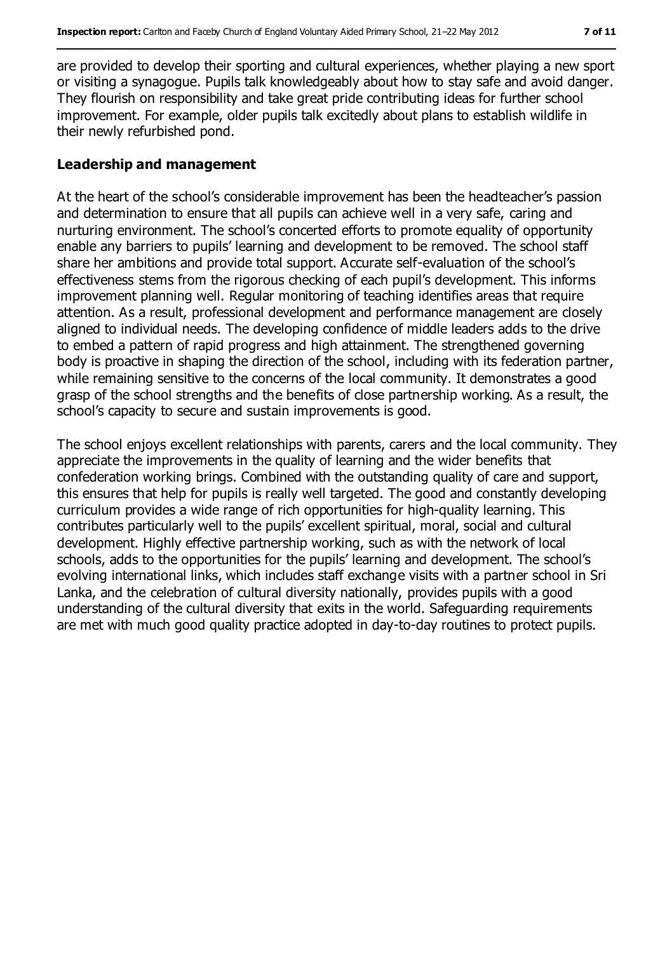are provided to develop their sporting and cultural experiences, whether playing a new sport or visiting a synagogue. Pupils talk knowledgeably about how to stay safe and avoid danger. They flourish on responsibility and take great pride contributing ideas for further school improvement. For example, older pupils talk excitedly about plans to establish wildlife in their newly refurbished pond.

#### **Leadership and management**

At the heart of the school's considerable improvement has been the headteacher's passion and determination to ensure that all pupils can achieve well in a very safe, caring and nurturing environment. The school's concerted efforts to promote equality of opportunity enable any barriers to pupils' learning and development to be removed. The school staff share her ambitions and provide total support. Accurate self-evaluation of the school's effectiveness stems from the rigorous checking of each pupil's development. This informs improvement planning well. Regular monitoring of teaching identifies areas that require attention. As a result, professional development and performance management are closely aligned to individual needs. The developing confidence of middle leaders adds to the drive to embed a pattern of rapid progress and high attainment. The strengthened governing body is proactive in shaping the direction of the school, including with its federation partner, while remaining sensitive to the concerns of the local community. It demonstrates a good grasp of the school strengths and the benefits of close partnership working. As a result, the school's capacity to secure and sustain improvements is good.

The school enjoys excellent relationships with parents, carers and the local community. They appreciate the improvements in the quality of learning and the wider benefits that confederation working brings. Combined with the outstanding quality of care and support, this ensures that help for pupils is really well targeted. The good and constantly developing curriculum provides a wide range of rich opportunities for high-quality learning. This contributes particularly well to the pupils' excellent spiritual, moral, social and cultural development. Highly effective partnership working, such as with the network of local schools, adds to the opportunities for the pupils' learning and development. The school's evolving international links, which includes staff exchange visits with a partner school in Sri Lanka, and the celebration of cultural diversity nationally, provides pupils with a good understanding of the cultural diversity that exits in the world. Safeguarding requirements are met with much good quality practice adopted in day-to-day routines to protect pupils.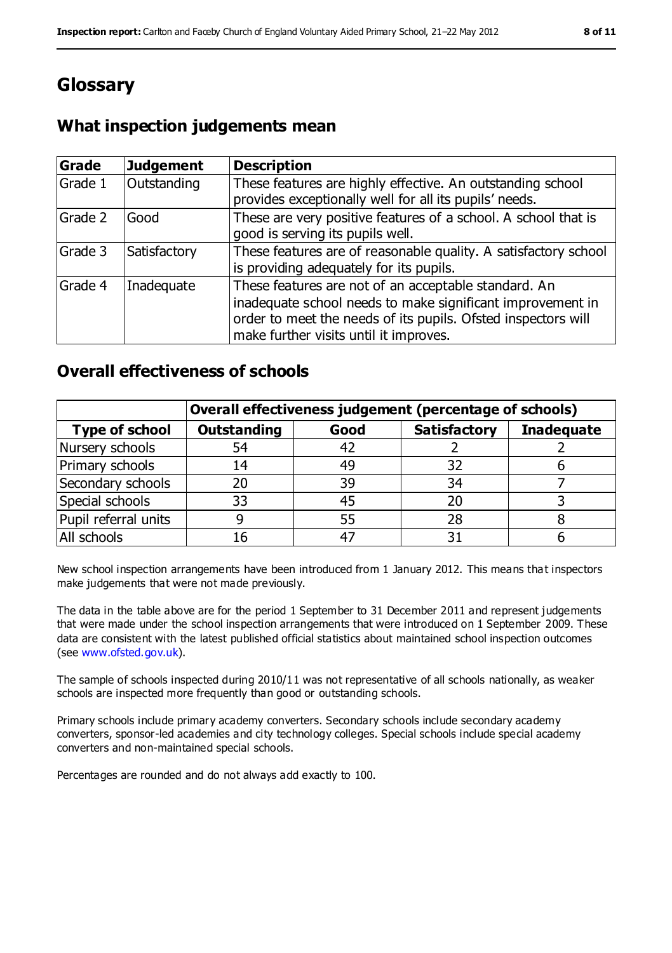# **Glossary**

## **What inspection judgements mean**

| Grade   | <b>Judgement</b> | <b>Description</b>                                                                                                                                                                                                            |
|---------|------------------|-------------------------------------------------------------------------------------------------------------------------------------------------------------------------------------------------------------------------------|
| Grade 1 | Outstanding      | These features are highly effective. An outstanding school<br>provides exceptionally well for all its pupils' needs.                                                                                                          |
| Grade 2 | Good             | These are very positive features of a school. A school that is<br>good is serving its pupils well.                                                                                                                            |
| Grade 3 | Satisfactory     | These features are of reasonable quality. A satisfactory school<br>is providing adequately for its pupils.                                                                                                                    |
| Grade 4 | Inadequate       | These features are not of an acceptable standard. An<br>inadequate school needs to make significant improvement in<br>order to meet the needs of its pupils. Ofsted inspectors will<br>make further visits until it improves. |

### **Overall effectiveness of schools**

|                       | Overall effectiveness judgement (percentage of schools) |      |                     |                   |
|-----------------------|---------------------------------------------------------|------|---------------------|-------------------|
| <b>Type of school</b> | <b>Outstanding</b>                                      | Good | <b>Satisfactory</b> | <b>Inadequate</b> |
| Nursery schools       | 54                                                      |      |                     |                   |
| Primary schools       | 14                                                      | 49   | 32                  |                   |
| Secondary schools     | 20                                                      | 39   | 34                  |                   |
| Special schools       | 33                                                      | 45   | 20                  |                   |
| Pupil referral units  |                                                         | 55   | 28                  |                   |
| All schools           | 16                                                      |      |                     |                   |

New school inspection arrangements have been introduced from 1 January 2012. This means that inspectors make judgements that were not made previously.

The data in the table above are for the period 1 September to 31 December 2011 and represent judgements that were made under the school inspection arrangements that were introduced on 1 September 2009. These data are consistent with the latest published official statistics about maintained school inspection outcomes (see [www.ofsted.gov.uk\)](../../../../AppData/Local/Microsoft/Windows/Temporary%20Internet%20Files/Content.IE5/KGBL96WJ/www.ofsted.gov.uk).

The sample of schools inspected during 2010/11 was not representative of all schools nationally, as weaker schools are inspected more frequently than good or outstanding schools.

Primary schools include primary academy converters. Secondary schools include secondary academy converters, sponsor-led academies and city technology colleges. Special schools include special academy converters and non-maintained special schools.

Percentages are rounded and do not always add exactly to 100.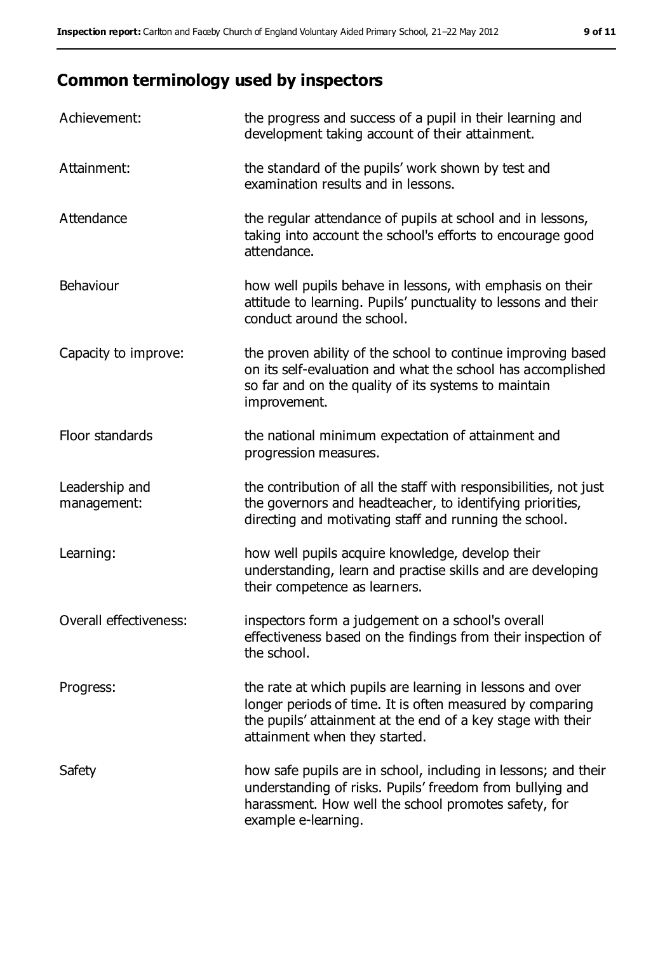# **Common terminology used by inspectors**

| Achievement:                  | the progress and success of a pupil in their learning and<br>development taking account of their attainment.                                                                                                           |
|-------------------------------|------------------------------------------------------------------------------------------------------------------------------------------------------------------------------------------------------------------------|
| Attainment:                   | the standard of the pupils' work shown by test and<br>examination results and in lessons.                                                                                                                              |
| Attendance                    | the regular attendance of pupils at school and in lessons,<br>taking into account the school's efforts to encourage good<br>attendance.                                                                                |
| Behaviour                     | how well pupils behave in lessons, with emphasis on their<br>attitude to learning. Pupils' punctuality to lessons and their<br>conduct around the school.                                                              |
| Capacity to improve:          | the proven ability of the school to continue improving based<br>on its self-evaluation and what the school has accomplished<br>so far and on the quality of its systems to maintain<br>improvement.                    |
| Floor standards               | the national minimum expectation of attainment and<br>progression measures.                                                                                                                                            |
| Leadership and<br>management: | the contribution of all the staff with responsibilities, not just<br>the governors and headteacher, to identifying priorities,<br>directing and motivating staff and running the school.                               |
| Learning:                     | how well pupils acquire knowledge, develop their<br>understanding, learn and practise skills and are developing<br>their competence as learners.                                                                       |
| Overall effectiveness:        | inspectors form a judgement on a school's overall<br>effectiveness based on the findings from their inspection of<br>the school.                                                                                       |
| Progress:                     | the rate at which pupils are learning in lessons and over<br>longer periods of time. It is often measured by comparing<br>the pupils' attainment at the end of a key stage with their<br>attainment when they started. |
| Safety                        | how safe pupils are in school, including in lessons; and their<br>understanding of risks. Pupils' freedom from bullying and<br>harassment. How well the school promotes safety, for<br>example e-learning.             |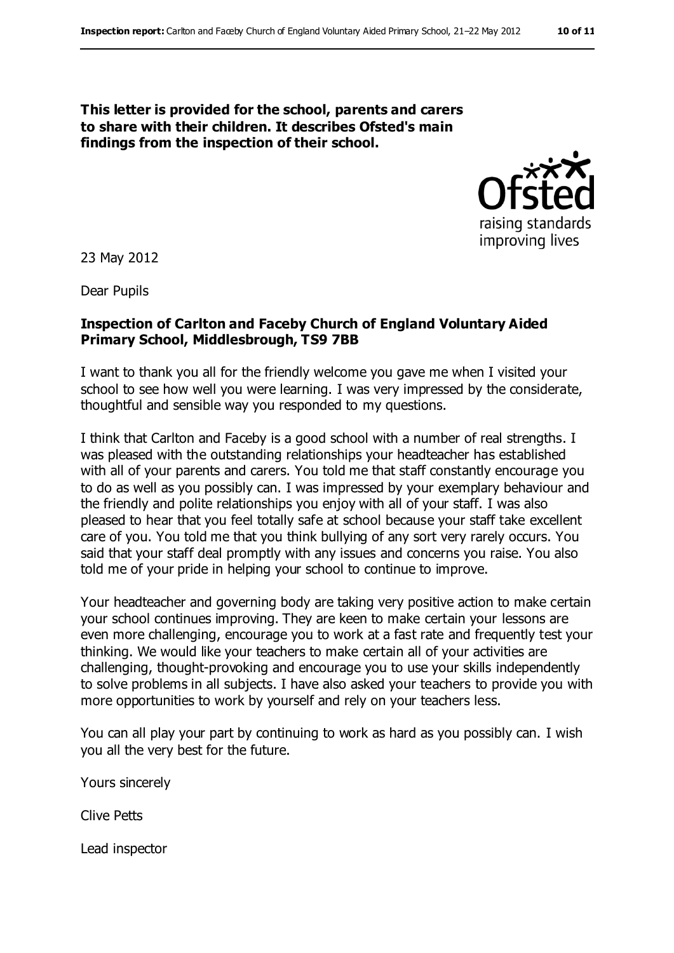**This letter is provided for the school, parents and carers to share with their children. It describes Ofsted's main findings from the inspection of their school.**



23 May 2012

Dear Pupils

#### **Inspection of Carlton and Faceby Church of England Voluntary Aided Primary School, Middlesbrough, TS9 7BB**

I want to thank you all for the friendly welcome you gave me when I visited your school to see how well you were learning. I was very impressed by the considerate, thoughtful and sensible way you responded to my questions.

I think that Carlton and Faceby is a good school with a number of real strengths. I was pleased with the outstanding relationships your headteacher has established with all of your parents and carers. You told me that staff constantly encourage you to do as well as you possibly can. I was impressed by your exemplary behaviour and the friendly and polite relationships you enjoy with all of your staff. I was also pleased to hear that you feel totally safe at school because your staff take excellent care of you. You told me that you think bullying of any sort very rarely occurs. You said that your staff deal promptly with any issues and concerns you raise. You also told me of your pride in helping your school to continue to improve.

Your headteacher and governing body are taking very positive action to make certain your school continues improving. They are keen to make certain your lessons are even more challenging, encourage you to work at a fast rate and frequently test your thinking. We would like your teachers to make certain all of your activities are challenging, thought-provoking and encourage you to use your skills independently to solve problems in all subjects. I have also asked your teachers to provide you with more opportunities to work by yourself and rely on your teachers less.

You can all play your part by continuing to work as hard as you possibly can. I wish you all the very best for the future.

Yours sincerely

Clive Petts

Lead inspector